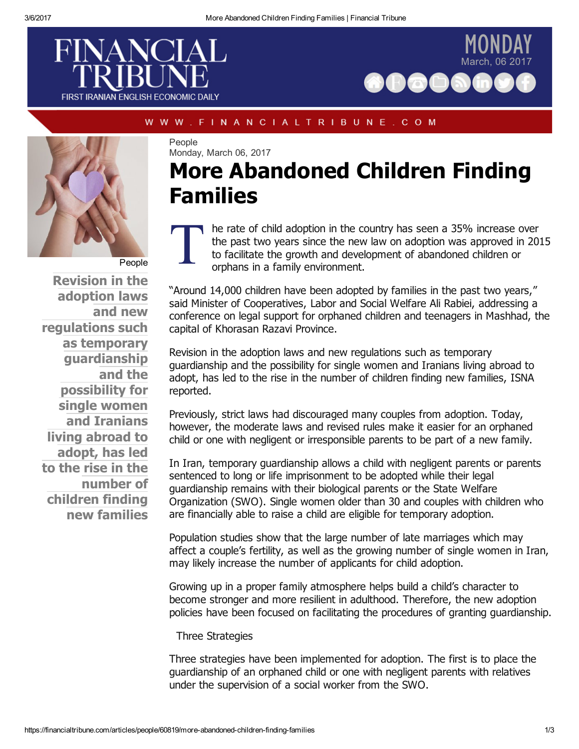





WWW.FINANCIALTRIBUNE.COM

People Monday, March 06, 2017

# More Abandoned Children Finding Families

[People](https://financialtribune.com/sites/default/files/field/image/17january/12_adoption.jpg)

Revision in the adoption laws and new regulations such as temporary guardianship and the possibility for single women and Iranians living abroad to adopt, has led to the rise in the number of children finding new families

 $\prod_{\substack{\text{t} \\ \text{c}}}$ he rate of child adoption in the country has seen a 35% increase over the past two years since the new law on adoption was approved in 2015 to facilitate the growth and development of abandoned children or orphans in a family environment.

"Around 14,000 children have been adopted by families in the past two years," said Minister of Cooperatives, Labor and Social Welfare Ali Rabiei, addressing a conference on legal support for orphaned children and teenagers in Mashhad, the capital of Khorasan Razavi Province.

Revision in the adoption laws and new regulations such as temporary guardianship and the possibility for single women and Iranians living abroad to adopt, has led to the rise in the number of children finding new families, ISNA reported.

Previously, strict laws had discouraged many couples from adoption. Today, however, the moderate laws and revised rules make it easier for an orphaned child or one with negligent or irresponsible parents to be part of a new family.

In Iran, temporary guardianship allows a child with negligent parents or parents sentenced to long or life imprisonment to be adopted while their legal guardianship remains with their biological parents or the State Welfare Organization (SWO). Single women older than 30 and couples with children who are financially able to raise a child are eligible for temporary adoption.

Population studies show that the large number of late marriages which may affect a couple's fertility, as well as the growing number of single women in Iran, may likely increase the number of applicants for child adoption.

Growing up in a proper family atmosphere helps build a child's character to become stronger and more resilient in adulthood. Therefore, the new adoption policies have been focused on facilitating the procedures of granting guardianship.

Three Strategies

Three strategies have been implemented for adoption. The first is to place the guardianship of an orphaned child or one with negligent parents with relatives under the supervision of a social worker from the SWO.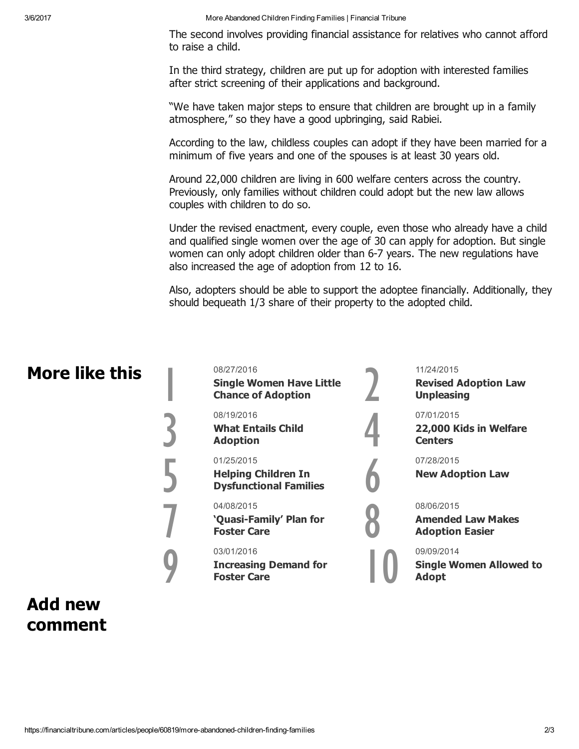3/6/2017 More Abandoned Children Finding Families | Financial Tribune

The second involves providing financial assistance for relatives who cannot afford to raise a child.

In the third strategy, children are put up for adoption with interested families after strict screening of their applications and background.

"We have taken major steps to ensure that children are brought up in a family atmosphere," so they have a good upbringing, said Rabiei.

According to the law, childless couples can adopt if they have been married for a minimum of five years and one of the spouses is at least 30 years old.

Around 22,000 children are living in 600 welfare centers across the country. Previously, only families without children could adopt but the new law allows couples with children to do so.

Under the revised enactment, every couple, even those who already have a child and qualified single women over the age of 30 can apply for adoption. But single women can only adopt children older than 6-7 years. The new regulations have also increased the age of adoption from 12 to 16.

Also, adopters should be able to support the adoptee financially. Additionally, they should bequeath 1/3 share of their property to the adopted child.

### More like this

08/27/2016 Single Women Have Little<br>Chance of Adoption

08/19/2016

What Entails Child<br>Adoption

### 01/25/2015

**Helping Children In<br>[Dysfunctional](https://financialtribune.com/articles/people/9672/helping-children-in-dysfunctional-families?utm_campaign=more-like-this) Families** 

#### 04/08/2015

'Quasi-Family' Plan for<br>Foster Care

03/01/2016

**Increasing Demand for<br>Foster Care** 

11/24/2015

Revised Adoption Law<br>[Unpleasing](https://financialtribune.com/articles/people/30993/revised-adoption-law-unpleasing?utm_campaign=more-like-this)

07/01/2015

22,000 Kids in Welfare<br>Centers



New Adoption Law [6](https://financialtribune.com/articles/people/22064/new-adoption-law?utm_campaign=more-like-this)

#### 08/06/2015

**Amended Law Makes<br>Adoption Easier** 

09/09/2014

Single Women Allowed to<br>Adopt

## Add new comment